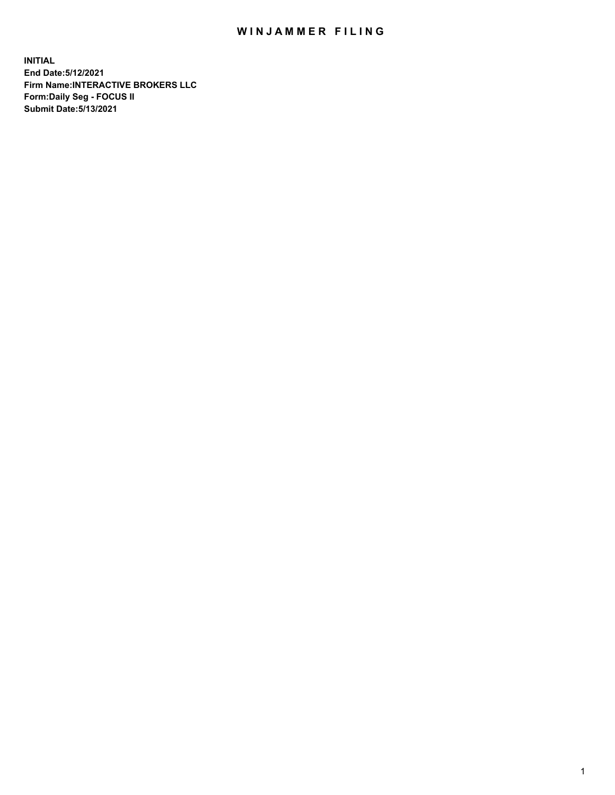## WIN JAMMER FILING

**INITIAL End Date:5/12/2021 Firm Name:INTERACTIVE BROKERS LLC Form:Daily Seg - FOCUS II Submit Date:5/13/2021**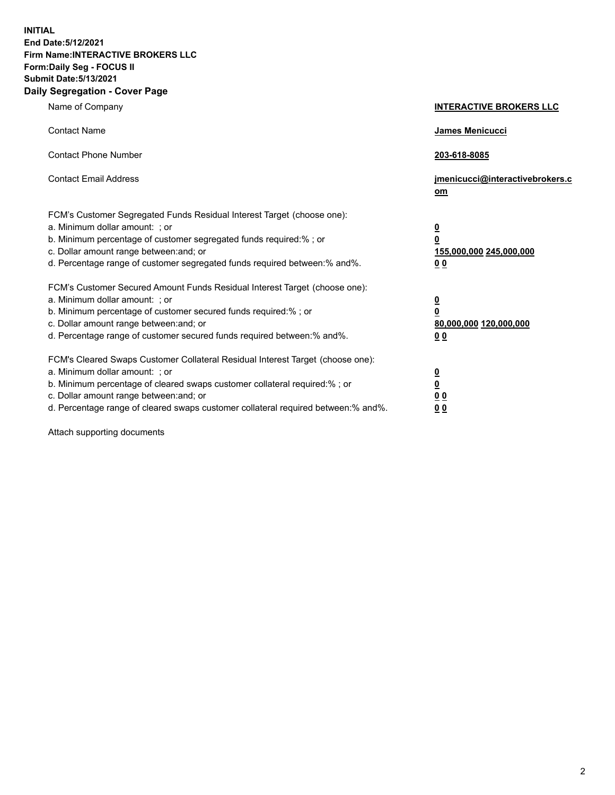**INITIAL End Date:5/12/2021 Firm Name:INTERACTIVE BROKERS LLC Form:Daily Seg - FOCUS II Submit Date:5/13/2021 Daily Segregation - Cover Page**

| Name of Company                                                                                                                                                                                                                                                                                                               | <b>INTERACTIVE BROKERS LLC</b>                                                            |
|-------------------------------------------------------------------------------------------------------------------------------------------------------------------------------------------------------------------------------------------------------------------------------------------------------------------------------|-------------------------------------------------------------------------------------------|
| <b>Contact Name</b>                                                                                                                                                                                                                                                                                                           | James Menicucci                                                                           |
| <b>Contact Phone Number</b>                                                                                                                                                                                                                                                                                                   | 203-618-8085                                                                              |
| <b>Contact Email Address</b>                                                                                                                                                                                                                                                                                                  | jmenicucci@interactivebrokers.c<br>$om$                                                   |
| FCM's Customer Segregated Funds Residual Interest Target (choose one):<br>a. Minimum dollar amount: ; or<br>b. Minimum percentage of customer segregated funds required:% ; or<br>c. Dollar amount range between: and; or<br>d. Percentage range of customer segregated funds required between: % and %.                      | <u>0</u><br>0<br>155,000,000 245,000,000<br>0 <sub>0</sub>                                |
| FCM's Customer Secured Amount Funds Residual Interest Target (choose one):<br>a. Minimum dollar amount: ; or<br>b. Minimum percentage of customer secured funds required:%; or<br>c. Dollar amount range between: and; or<br>d. Percentage range of customer secured funds required between:% and%.                           | <u>0</u><br>$\overline{\mathbf{0}}$<br>80,000,000 120,000,000<br>00                       |
| FCM's Cleared Swaps Customer Collateral Residual Interest Target (choose one):<br>a. Minimum dollar amount: ; or<br>b. Minimum percentage of cleared swaps customer collateral required:%; or<br>c. Dollar amount range between: and; or<br>d. Percentage range of cleared swaps customer collateral required between:% and%. | <u>0</u><br>$\underline{\mathbf{0}}$<br>$\underline{0}$ $\underline{0}$<br>0 <sub>0</sub> |

Attach supporting documents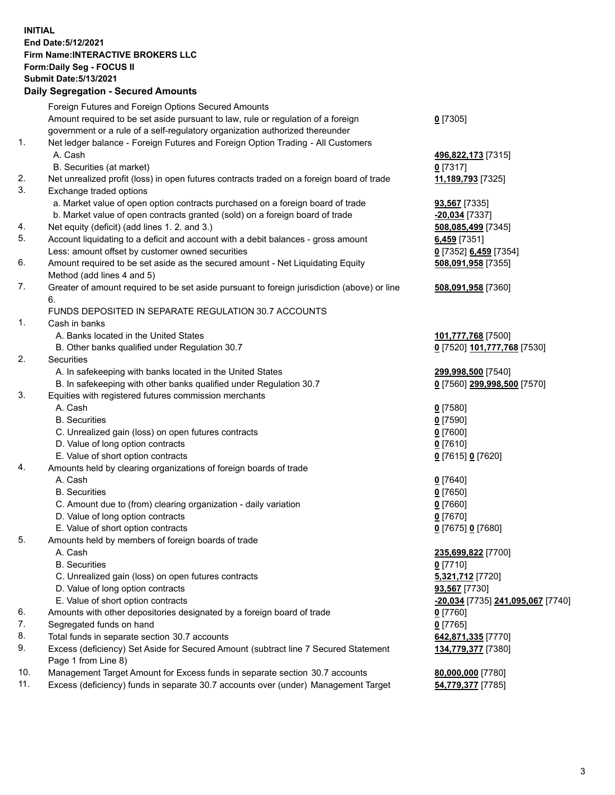## **INITIAL End Date:5/12/2021 Firm Name:INTERACTIVE BROKERS LLC Form:Daily Seg - FOCUS II Submit Date:5/13/2021**

|     | <b>Daily Segregation - Secured Amounts</b>                                                              |                                   |
|-----|---------------------------------------------------------------------------------------------------------|-----------------------------------|
|     | Foreign Futures and Foreign Options Secured Amounts                                                     |                                   |
|     | Amount required to be set aside pursuant to law, rule or regulation of a foreign                        | $0$ [7305]                        |
|     | government or a rule of a self-regulatory organization authorized thereunder                            |                                   |
| 1.  | Net ledger balance - Foreign Futures and Foreign Option Trading - All Customers                         |                                   |
|     | A. Cash                                                                                                 | 496,822,173 [7315]                |
|     | B. Securities (at market)                                                                               | $0$ [7317]                        |
| 2.  | Net unrealized profit (loss) in open futures contracts traded on a foreign board of trade               | 11,189,793 [7325]                 |
| 3.  | Exchange traded options                                                                                 |                                   |
|     | a. Market value of open option contracts purchased on a foreign board of trade                          | 93,567 [7335]                     |
|     | b. Market value of open contracts granted (sold) on a foreign board of trade                            | -20,034 [7337]                    |
| 4.  | Net equity (deficit) (add lines 1. 2. and 3.)                                                           | 508,085,499 [7345]                |
| 5.  | Account liquidating to a deficit and account with a debit balances - gross amount                       | 6,459 [7351]                      |
|     | Less: amount offset by customer owned securities                                                        | 0 [7352] 6,459 [7354]             |
| 6.  | Amount required to be set aside as the secured amount - Net Liquidating Equity                          | 508,091,958 [7355]                |
|     | Method (add lines 4 and 5)                                                                              |                                   |
| 7.  | Greater of amount required to be set aside pursuant to foreign jurisdiction (above) or line             | 508,091,958 [7360]                |
|     | 6.                                                                                                      |                                   |
|     | FUNDS DEPOSITED IN SEPARATE REGULATION 30.7 ACCOUNTS                                                    |                                   |
| 1.  | Cash in banks                                                                                           |                                   |
|     | A. Banks located in the United States                                                                   | 101,777,768 [7500]                |
|     | B. Other banks qualified under Regulation 30.7                                                          | 0 [7520] 101,777,768 [7530]       |
| 2.  | Securities                                                                                              |                                   |
|     | A. In safekeeping with banks located in the United States                                               | 299,998,500 [7540]                |
|     | B. In safekeeping with other banks qualified under Regulation 30.7                                      | 0 [7560] 299,998,500 [7570]       |
| 3.  | Equities with registered futures commission merchants                                                   |                                   |
|     | A. Cash                                                                                                 | $0$ [7580]                        |
|     | <b>B.</b> Securities                                                                                    | $0$ [7590]                        |
|     | C. Unrealized gain (loss) on open futures contracts                                                     | $0$ [7600]                        |
|     | D. Value of long option contracts                                                                       | $0$ [7610]                        |
| 4.  | E. Value of short option contracts<br>Amounts held by clearing organizations of foreign boards of trade | 0 [7615] 0 [7620]                 |
|     | A. Cash                                                                                                 | $0$ [7640]                        |
|     | <b>B.</b> Securities                                                                                    | $0$ [7650]                        |
|     | C. Amount due to (from) clearing organization - daily variation                                         | $0$ [7660]                        |
|     | D. Value of long option contracts                                                                       | $0$ [7670]                        |
|     | E. Value of short option contracts                                                                      | 0 [7675] 0 [7680]                 |
| 5.  | Amounts held by members of foreign boards of trade                                                      |                                   |
|     | A. Cash                                                                                                 | 235,699,822 [7700]                |
|     | <b>B.</b> Securities                                                                                    | $0$ [7710]                        |
|     | C. Unrealized gain (loss) on open futures contracts                                                     | 5,321,712 [7720]                  |
|     | D. Value of long option contracts                                                                       | 93,567 [7730]                     |
|     | E. Value of short option contracts                                                                      | -20,034 [7735] 241,095,067 [7740] |
| 6.  | Amounts with other depositories designated by a foreign board of trade                                  | $0$ [7760]                        |
| 7.  | Segregated funds on hand                                                                                | $0$ [7765]                        |
| 8.  | Total funds in separate section 30.7 accounts                                                           | 642,871,335 [7770]                |
| 9.  | Excess (deficiency) Set Aside for Secured Amount (subtract line 7 Secured Statement                     | 134,779,377 [7380]                |
|     | Page 1 from Line 8)                                                                                     |                                   |
| 10. | Management Target Amount for Excess funds in separate section 30.7 accounts                             | 80,000,000 [7780]                 |
| 11. | Excess (deficiency) funds in separate 30.7 accounts over (under) Management Target                      | 54,779,377 [7785]                 |
|     |                                                                                                         |                                   |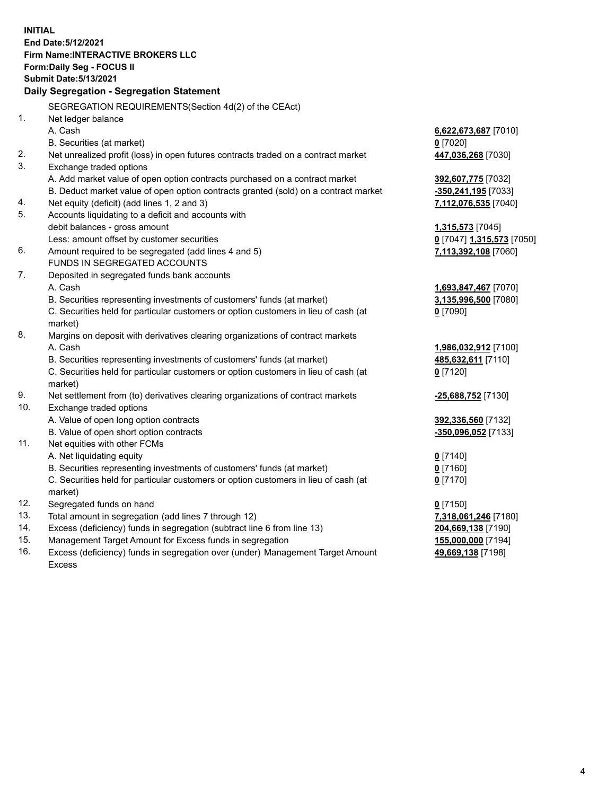**INITIAL End Date:5/12/2021 Firm Name:INTERACTIVE BROKERS LLC Form:Daily Seg - FOCUS II Submit Date:5/13/2021 Daily Segregation - Segregation Statement** SEGREGATION REQUIREMENTS(Section 4d(2) of the CEAct) 1. Net ledger balance A. Cash **6,622,673,687** [7010] B. Securities (at market) **0** [7020] 2. Net unrealized profit (loss) in open futures contracts traded on a contract market **447,036,268** [7030] 3. Exchange traded options A. Add market value of open option contracts purchased on a contract market **392,607,775** [7032] B. Deduct market value of open option contracts granted (sold) on a contract market **-350,241,195** [7033] 4. Net equity (deficit) (add lines 1, 2 and 3) **7,112,076,535** [7040] 5. Accounts liquidating to a deficit and accounts with debit balances - gross amount **1,315,573** [7045] Less: amount offset by customer securities **0** [7047] **1,315,573** [7050] 6. Amount required to be segregated (add lines 4 and 5) **7,113,392,108** [7060] FUNDS IN SEGREGATED ACCOUNTS 7. Deposited in segregated funds bank accounts A. Cash **1,693,847,467** [7070] B. Securities representing investments of customers' funds (at market) **3,135,996,500** [7080] C. Securities held for particular customers or option customers in lieu of cash (at market) **0** [7090] 8. Margins on deposit with derivatives clearing organizations of contract markets A. Cash **1,986,032,912** [7100] B. Securities representing investments of customers' funds (at market) **485,632,611** [7110] C. Securities held for particular customers or option customers in lieu of cash (at market) **0** [7120] 9. Net settlement from (to) derivatives clearing organizations of contract markets **-25,688,752** [7130] 10. Exchange traded options A. Value of open long option contracts **392,336,560** [7132] B. Value of open short option contracts **-350,096,052** [7133] 11. Net equities with other FCMs A. Net liquidating equity **0** [7140] B. Securities representing investments of customers' funds (at market) **0** [7160] C. Securities held for particular customers or option customers in lieu of cash (at market) **0** [7170] 12. Segregated funds on hand **0** [7150] 13. Total amount in segregation (add lines 7 through 12) **7,318,061,246** [7180] 14. Excess (deficiency) funds in segregation (subtract line 6 from line 13) **204,669,138** [7190] 15. Management Target Amount for Excess funds in segregation **155,000,000** [7194] 16. Excess (deficiency) funds in segregation over (under) Management Target Amount **49,669,138** [7198]

Excess